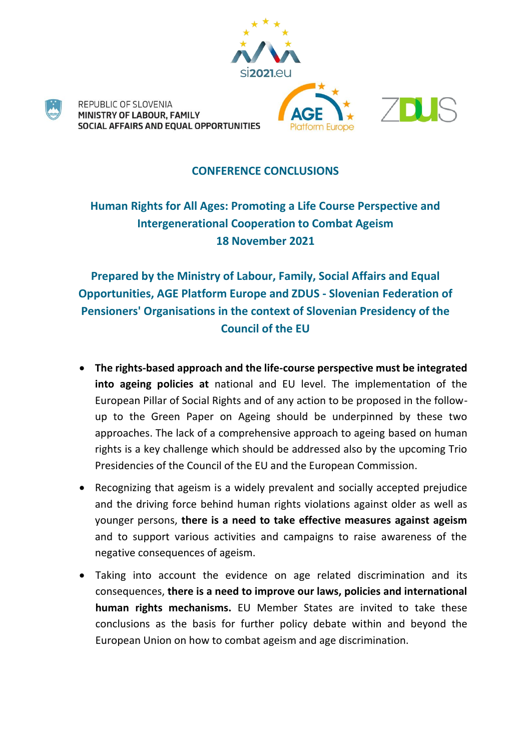

## **CONFERENCE CONCLUSIONS**

## **Human Rights for All Ages: Promoting a Life Course Perspective and Intergenerational Cooperation to Combat Ageism 18 November 2021**

**Prepared by the Ministry of Labour, Family, Social Affairs and Equal Opportunities, AGE Platform Europe and ZDUS - Slovenian Federation of Pensioners' Organisations in the context of Slovenian Presidency of the Council of the EU** 

- **The rights-based approach and the life-course perspective must be integrated into ageing policies at** national and EU level. The implementation of the European Pillar of Social Rights and of any action to be proposed in the followup to the Green Paper on Ageing should be underpinned by these two approaches. The lack of a comprehensive approach to ageing based on human rights is a key challenge which should be addressed also by the upcoming Trio Presidencies of the Council of the EU and the European Commission.
- Recognizing that ageism is a widely prevalent and socially accepted prejudice and the driving force behind human rights violations against older as well as younger persons, **there is a need to take effective measures against ageism** and to support various activities and campaigns to raise awareness of the negative consequences of ageism.
- Taking into account the evidence on age related discrimination and its consequences, **there is a need to improve our laws, policies and international human rights mechanisms.** EU Member States are invited to take these conclusions as the basis for further policy debate within and beyond the European Union on how to combat ageism and age discrimination.